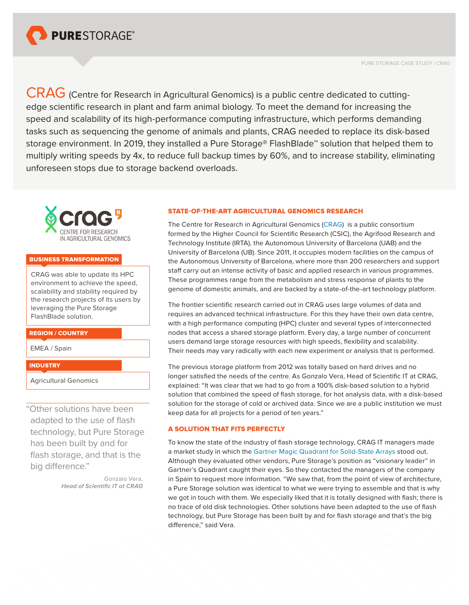

CRAG (Centre for Research in Agricultural Genomics) is a public centre dedicated to cuttingedge scientific research in plant and farm animal biology. To meet the demand for increasing the speed and scalability of its high-performance computing infrastructure, which performs demanding tasks such as sequencing the genome of animals and plants, CRAG needed to replace its disk-based storage environment. In 2019, they installed a Pure Storage® FlashBlade™ solution that helped them to multiply writing speeds by 4x, to reduce full backup times by 60%, and to increase stability, eliminating unforeseen stops due to storage backend overloads.



#### BUSINESS TRANSFORMATION

CRAG was able to update its HPC environment to achieve the speed, scalability and stability required by the research projects of its users by leveraging the Pure Storage FlashBlade solution.

### REGION / COUNTRY

EMEA / Spain

### **INDUSTRY**

Agricultural Genomics

"Other solutions have been adapted to the use of flash technology, but Pure Storage has been built by and for flash storage, and that is the big difference."

> Gonzalo Vera, *Head of Scientific IT at CRAG*

### STATE-OF-THE-ART AGRICULTURAL GENOMICS RESEARCH

The Centre for Research in Agricultural Genomics ([CRAG\)](http://www.cragenomica.es) is a public consortium formed by the Higher Council for Scientific Research (CSIC), the Agrifood Research and Technology Institute (IRTA), the Autonomous University of Barcelona (UAB) and the University of Barcelona (UB). Since 2011, it occupies modern facilities on the campus of the Autonomous University of Barcelona, where more than 200 researchers and support staff carry out an intense activity of basic and applied research in various programmes. These programmes range from the metabolism and stress response of plants to the genome of domestic animals, and are backed by a state-of-the-art technology platform.

The frontier scientific research carried out in CRAG uses large volumes of data and requires an advanced technical infrastructure. For this they have their own data centre, with a high performance computing (HPC) cluster and several types of interconnected nodes that access a shared storage platform. Every day, a large number of concurrent users demand large storage resources with high speeds, flexibility and scalability. Their needs may vary radically with each new experiment or analysis that is performed.

The previous storage platform from 2012 was totally based on hard drives and no longer satisfied the needs of the centre. As Gonzalo Vera, Head of Scientific IT at CRAG, explained: "It was clear that we had to go from a 100% disk-based solution to a hybrid solution that combined the speed of flash storage, for hot analysis data, with a disk-based solution for the storage of cold or archived data. Since we are a public institution we must keep data for all projects for a period of ten years."

# A SOLUTION THAT FITS PERFECTLY

To know the state of the industry of flash storage technology, CRAG IT managers made a market study in which the [Gartner Magic Quadrant for Solid-State Arrays](https://www.purestorage.com/la/microsites/gartner-mq-2018.html) stood out. Although they evaluated other vendors, Pure Storage's position as "visionary leader" in Gartner's Quadrant caught their eyes. So they contacted the managers of the company in Spain to request more information. "We saw that, from the point of view of architecture, a Pure Storage solution was identical to what we were trying to assemble and that is why we got in touch with them. We especially liked that it is totally designed with flash; there is no trace of old disk technologies. Other solutions have been adapted to the use of flash technology, but Pure Storage has been built by and for flash storage and that's the big difference," said Vera.